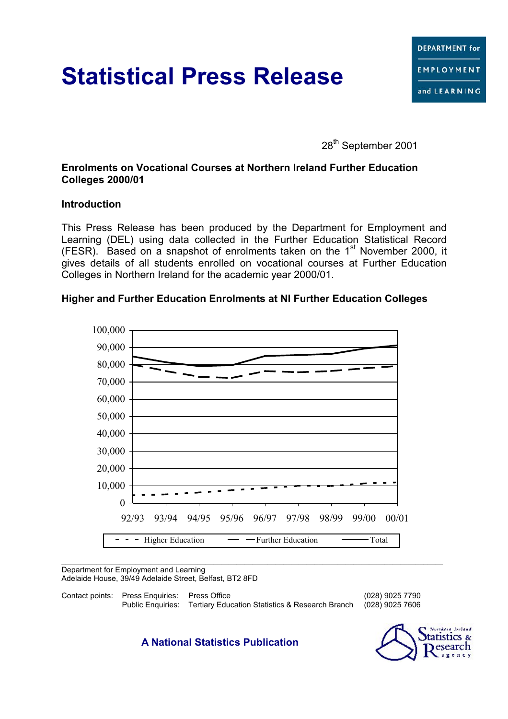# **Statistical Press Release**

28<sup>th</sup> September 2001

## **Enrolments on Vocational Courses at Northern Ireland Further Education Colleges 2000/01**

#### **Introduction**

This Press Release has been produced by the Department for Employment and Learning (DEL) using data collected in the Further Education Statistical Record (FESR). Based on a snapshot of enrolments taken on the  $1<sup>st</sup>$  November 2000. it gives details of all students enrolled on vocational courses at Further Education Colleges in Northern Ireland for the academic year 2000/01.

## **Higher and Further Education Enrolments at NI Further Education Colleges**



Department for Employment and Learning Adelaide House, 39/49 Adelaide Street, Belfast, BT2 8FD

Contact points: Press Enquiries: Press Office (028) 9025 7790 Public Enquiries: Tertiary Education Statistics & Research Branch

**A National Statistics Publication**

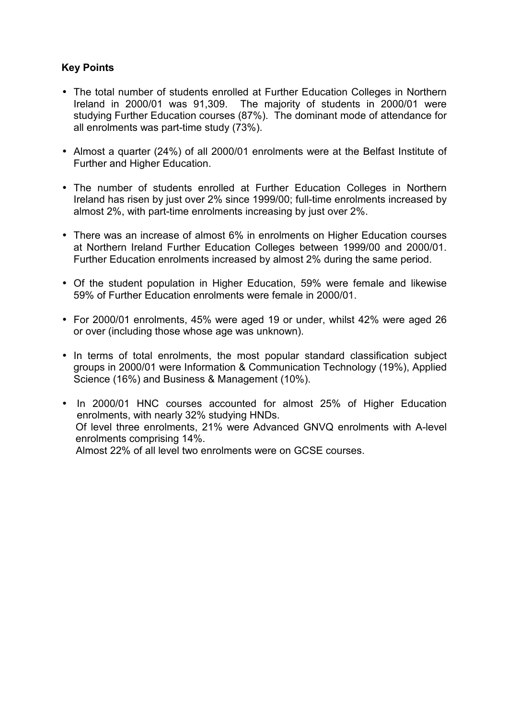# **Key Points**

- The total number of students enrolled at Further Education Colleges in Northern Ireland in 2000/01 was 91,309. The majority of students in 2000/01 were studying Further Education courses (87%). The dominant mode of attendance for all enrolments was part-time study (73%).
- Almost a quarter (24%) of all 2000/01 enrolments were at the Belfast Institute of Further and Higher Education.
- The number of students enrolled at Further Education Colleges in Northern Ireland has risen by just over 2% since 1999/00; full-time enrolments increased by almost 2%, with part-time enrolments increasing by just over 2%.
- There was an increase of almost 6% in enrolments on Higher Education courses at Northern Ireland Further Education Colleges between 1999/00 and 2000/01. Further Education enrolments increased by almost 2% during the same period.
- Of the student population in Higher Education, 59% were female and likewise 59% of Further Education enrolments were female in 2000/01.
- For 2000/01 enrolments, 45% were aged 19 or under, whilst 42% were aged 26 or over (including those whose age was unknown).
- In terms of total enrolments, the most popular standard classification subject groups in 2000/01 were Information & Communication Technology (19%), Applied Science (16%) and Business & Management (10%).
- In 2000/01 HNC courses accounted for almost 25% of Higher Education enrolments, with nearly 32% studying HNDs. Of level three enrolments, 21% were Advanced GNVQ enrolments with A-level enrolments comprising 14%. Almost 22% of all level two enrolments were on GCSE courses.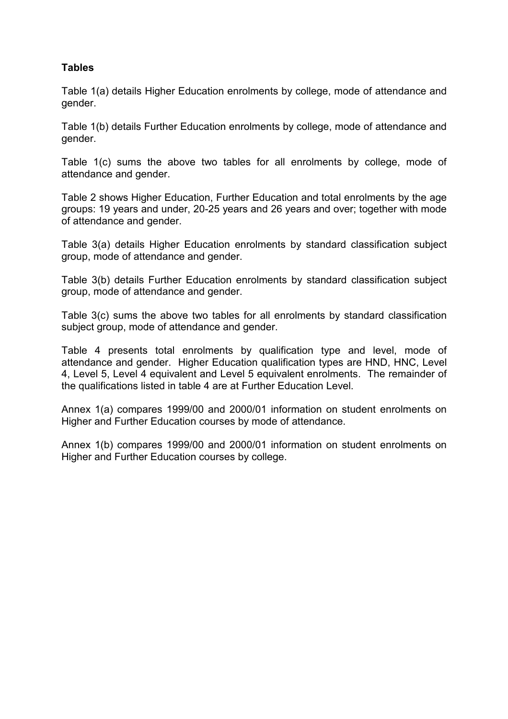## **Tables**

Table 1(a) details Higher Education enrolments by college, mode of attendance and gender.

Table 1(b) details Further Education enrolments by college, mode of attendance and gender.

Table 1(c) sums the above two tables for all enrolments by college, mode of attendance and gender.

Table 2 shows Higher Education, Further Education and total enrolments by the age groups: 19 years and under, 20-25 years and 26 years and over; together with mode of attendance and gender.

Table 3(a) details Higher Education enrolments by standard classification subject group, mode of attendance and gender.

Table 3(b) details Further Education enrolments by standard classification subject group, mode of attendance and gender.

Table 3(c) sums the above two tables for all enrolments by standard classification subject group, mode of attendance and gender.

Table 4 presents total enrolments by qualification type and level, mode of attendance and gender. Higher Education qualification types are HND, HNC, Level 4, Level 5, Level 4 equivalent and Level 5 equivalent enrolments. The remainder of the qualifications listed in table 4 are at Further Education Level.

Annex 1(a) compares 1999/00 and 2000/01 information on student enrolments on Higher and Further Education courses by mode of attendance.

Annex 1(b) compares 1999/00 and 2000/01 information on student enrolments on Higher and Further Education courses by college.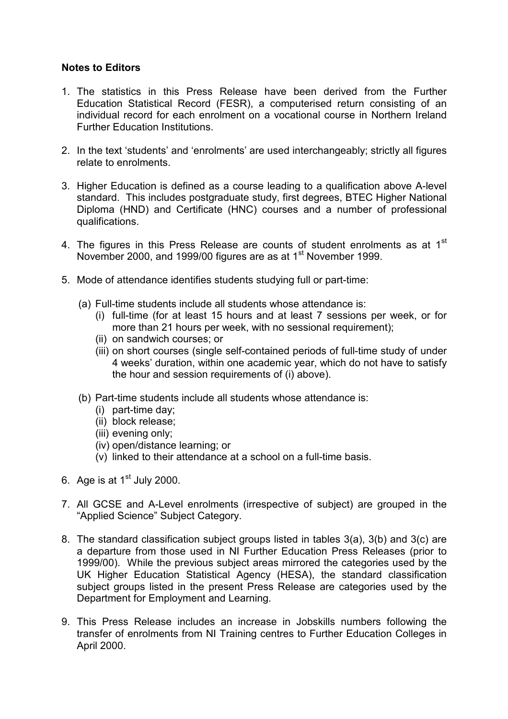#### **Notes to Editors**

- 1. The statistics in this Press Release have been derived from the Further Education Statistical Record (FESR), a computerised return consisting of an individual record for each enrolment on a vocational course in Northern Ireland Further Education Institutions.
- 2. In the text 'students' and 'enrolments' are used interchangeably; strictly all figures relate to enrolments.
- 3. Higher Education is defined as a course leading to a qualification above A-level standard. This includes postgraduate study, first degrees, BTEC Higher National Diploma (HND) and Certificate (HNC) courses and a number of professional qualifications.
- 4. The figures in this Press Release are counts of student enrolments as at  $1<sup>st</sup>$ November 2000, and 1999/00 figures are as at 1<sup>st</sup> November 1999.
- 5. Mode of attendance identifies students studying full or part-time:
	- (a) Full-time students include all students whose attendance is:
		- (i) full-time (for at least 15 hours and at least 7 sessions per week, or for more than 21 hours per week, with no sessional requirement);
		- (ii) on sandwich courses; or
		- (iii) on short courses (single self-contained periods of full-time study of under 4 weeks' duration, within one academic year, which do not have to satisfy the hour and session requirements of (i) above).
	- (b) Part-time students include all students whose attendance is:
		- (i) part-time day;
		- (ii) block release;
		- (iii) evening only;
		- (iv) open/distance learning; or
		- (v) linked to their attendance at a school on a full-time basis.
- 6. Age is at  $1<sup>st</sup>$  July 2000.
- 7. All GCSE and A-Level enrolments (irrespective of subject) are grouped in the "Applied Science" Subject Category.
- 8. The standard classification subject groups listed in tables 3(a), 3(b) and 3(c) are a departure from those used in NI Further Education Press Releases (prior to 1999/00). While the previous subject areas mirrored the categories used by the UK Higher Education Statistical Agency (HESA), the standard classification subject groups listed in the present Press Release are categories used by the Department for Employment and Learning.
- 9. This Press Release includes an increase in Jobskills numbers following the transfer of enrolments from NI Training centres to Further Education Colleges in April 2000.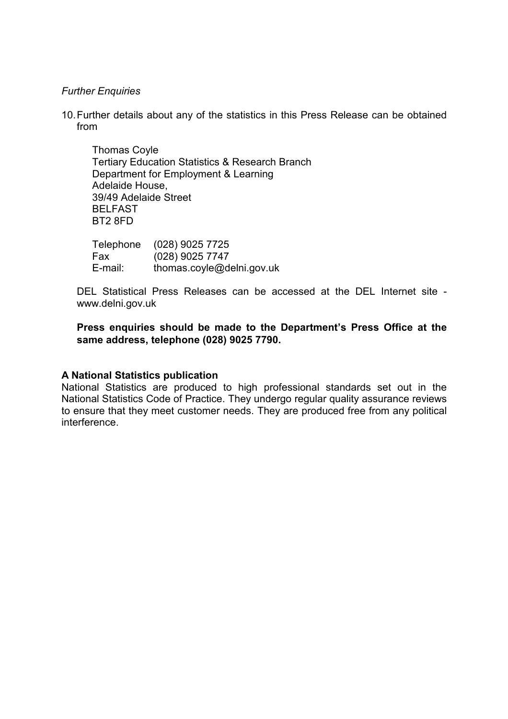#### *Further Enquiries*

10. Further details about any of the statistics in this Press Release can be obtained from

Thomas Coyle Tertiary Education Statistics & Research Branch Department for Employment & Learning Adelaide House, 39/49 Adelaide Street BELFAST BT2 8FD

Telephone (028) 9025 7725 Fax (028) 9025 7747 E-mail: thomas.coyle@delni.gov.uk

DEL Statistical Press Releases can be accessed at the DEL Internet site www.delni.gov.uk

**Press enquiries should be made to the Department's Press Office at the same address, telephone (028) 9025 7790.**

#### **A National Statistics publication**

National Statistics are produced to high professional standards set out in the National Statistics Code of Practice. They undergo regular quality assurance reviews to ensure that they meet customer needs. They are produced free from any political interference.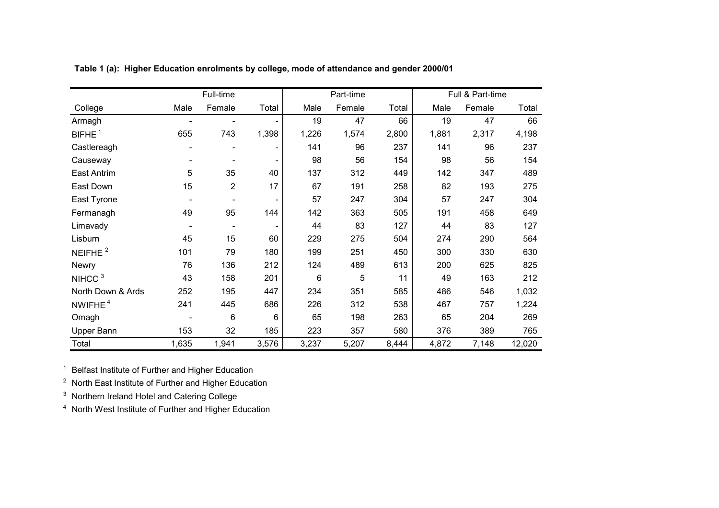|                     |       | Full-time      |       |       | Part-time |       | Full & Part-time |        |        |  |
|---------------------|-------|----------------|-------|-------|-----------|-------|------------------|--------|--------|--|
| College             | Male  | Female         | Total | Male  | Female    | Total | Male             | Female | Total  |  |
| Armagh              |       |                |       | 19    | 47        | 66    | 19               | 47     | 66     |  |
| BIFHE <sup>1</sup>  | 655   | 743            | 1,398 | 1,226 | 1,574     | 2,800 | 1,881            | 2,317  | 4,198  |  |
| Castlereagh         |       |                |       | 141   | 96        | 237   | 141              | 96     | 237    |  |
| Causeway            |       |                |       | 98    | 56        | 154   | 98               | 56     | 154    |  |
| East Antrim         | 5     | 35             | 40    | 137   | 312       | 449   | 142              | 347    | 489    |  |
| East Down           | 15    | $\overline{2}$ | 17    | 67    | 191       | 258   | 82               | 193    | 275    |  |
| East Tyrone         |       |                |       | 57    | 247       | 304   | 57               | 247    | 304    |  |
| Fermanagh           | 49    | 95             | 144   | 142   | 363       | 505   | 191              | 458    | 649    |  |
| Limavady            |       |                |       | 44    | 83        | 127   | 44               | 83     | 127    |  |
| Lisburn             | 45    | 15             | 60    | 229   | 275       | 504   | 274              | 290    | 564    |  |
| NEIFHE <sup>2</sup> | 101   | 79             | 180   | 199   | 251       | 450   | 300              | 330    | 630    |  |
| Newry               | 76    | 136            | 212   | 124   | 489       | 613   | 200              | 625    | 825    |  |
| NIHCC <sup>3</sup>  | 43    | 158            | 201   | 6     | 5         | 11    | 49               | 163    | 212    |  |
| North Down & Ards   | 252   | 195            | 447   | 234   | 351       | 585   | 486              | 546    | 1,032  |  |
| NWIFHE <sup>4</sup> | 241   | 445            | 686   | 226   | 312       | 538   | 467              | 757    | 1,224  |  |
| Omagh               |       | 6              | 6     | 65    | 198       | 263   | 65               | 204    | 269    |  |
| Upper Bann          | 153   | 32             | 185   | 223   | 357       | 580   | 376              | 389    | 765    |  |
| Total               | 1,635 | 1,941          | 3,576 | 3,237 | 5,207     | 8,444 | 4,872            | 7,148  | 12,020 |  |

**Table 1 (a): Higher Education enrolments by college, mode of attendance and gender 2000/01**

<sup>1</sup> Belfast Institute of Further and Higher Education

 $2$  North East Institute of Further and Higher Education

 $3$  Northern Ireland Hotel and Catering College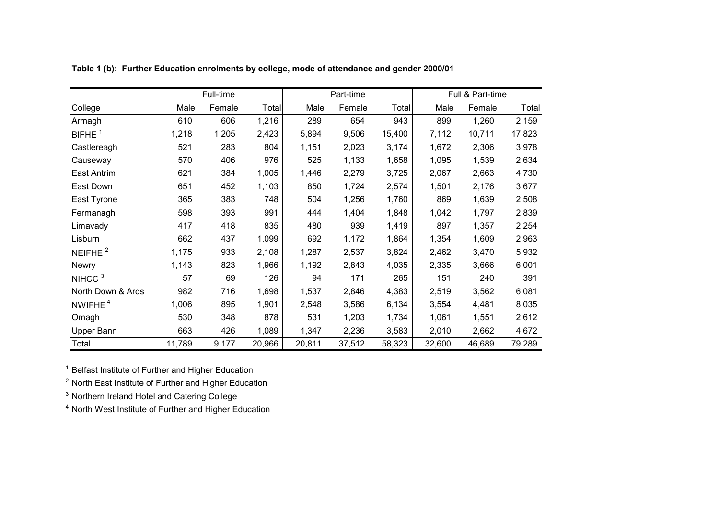|                     |        | Full-time |        |        | Part-time |              | Full & Part-time |        |        |  |
|---------------------|--------|-----------|--------|--------|-----------|--------------|------------------|--------|--------|--|
| College             | Male   | Female    | Total  | Male   | Female    | <b>Total</b> | Male             | Female | Total  |  |
| Armagh              | 610    | 606       | 1,216  | 289    | 654       | 943          | 899              | 1,260  | 2,159  |  |
| BIFHE $1$           | 1,218  | 1,205     | 2,423  | 5,894  | 9,506     | 15,400       | 7,112            | 10,711 | 17,823 |  |
| Castlereagh         | 521    | 283       | 804    | 1,151  | 2,023     | 3,174        | 1,672            | 2,306  | 3,978  |  |
| Causeway            | 570    | 406       | 976    | 525    | 1,133     | 1,658        | 1,095            | 1,539  | 2,634  |  |
| East Antrim         | 621    | 384       | 1,005  | 1,446  | 2,279     | 3,725        | 2,067            | 2,663  | 4,730  |  |
| East Down           | 651    | 452       | 1,103  | 850    | 1,724     | 2,574        | 1,501            | 2,176  | 3,677  |  |
| East Tyrone         | 365    | 383       | 748    | 504    | 1,256     | 1,760        | 869              | 1,639  | 2,508  |  |
| Fermanagh           | 598    | 393       | 991    | 444    | 1,404     | 1,848        | 1,042            | 1,797  | 2,839  |  |
| Limavady            | 417    | 418       | 835    | 480    | 939       | 1,419        | 897              | 1,357  | 2,254  |  |
| Lisburn             | 662    | 437       | 1,099  | 692    | 1,172     | 1,864        | 1,354            | 1,609  | 2,963  |  |
| NEIFHE $2$          | 1,175  | 933       | 2,108  | 1,287  | 2,537     | 3,824        | 2,462            | 3,470  | 5,932  |  |
| Newry               | 1,143  | 823       | 1,966  | 1,192  | 2,843     | 4,035        | 2,335            | 3,666  | 6,001  |  |
| NIHCC <sup>3</sup>  | 57     | 69        | 126    | 94     | 171       | 265          | 151              | 240    | 391    |  |
| North Down & Ards   | 982    | 716       | 1,698  | 1,537  | 2,846     | 4,383        | 2,519            | 3,562  | 6,081  |  |
| NWIFHE <sup>4</sup> | 1,006  | 895       | 1,901  | 2,548  | 3,586     | 6,134        | 3,554            | 4,481  | 8,035  |  |
| Omagh               | 530    | 348       | 878    | 531    | 1,203     | 1,734        | 1,061            | 1,551  | 2,612  |  |
| Upper Bann          | 663    | 426       | 1,089  | 1,347  | 2,236     | 3,583        | 2,010            | 2,662  | 4,672  |  |
| Total               | 11,789 | 9,177     | 20,966 | 20,811 | 37,512    | 58,323       | 32,600           | 46,689 | 79,289 |  |

**Table 1 (b): Further Education enrolments by college, mode of attendance and gender 2000/01**

<sup>1</sup> Belfast Institute of Further and Higher Education

<sup>2</sup> North East Institute of Further and Higher Education

 $3$  Northern Ireland Hotel and Catering College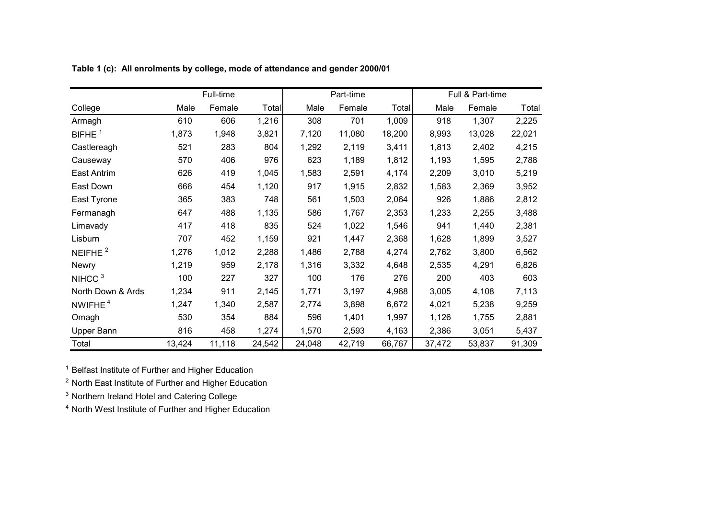|                     |        | Full-time |        |        | Part-time |        |        | Full & Part-time |        |
|---------------------|--------|-----------|--------|--------|-----------|--------|--------|------------------|--------|
| College             | Male   | Female    | Total  | Male   | Female    | Total  | Male   | Female           | Total  |
| Armagh              | 610    | 606       | 1,216  | 308    | 701       | 1,009  | 918    | 1,307            | 2,225  |
| BIFHE $1$           | 1,873  | 1,948     | 3,821  | 7,120  | 11,080    | 18,200 | 8,993  | 13,028           | 22,021 |
| Castlereagh         | 521    | 283       | 804    | 1,292  | 2,119     | 3,411  | 1,813  | 2,402            | 4,215  |
| Causeway            | 570    | 406       | 976    | 623    | 1,189     | 1,812  | 1,193  | 1,595            | 2,788  |
| East Antrim         | 626    | 419       | 1,045  | 1,583  | 2,591     | 4,174  | 2,209  | 3,010            | 5,219  |
| East Down           | 666    | 454       | 1,120  | 917    | 1,915     | 2,832  | 1,583  | 2,369            | 3,952  |
| East Tyrone         | 365    | 383       | 748    | 561    | 1,503     | 2,064  | 926    | 1,886            | 2,812  |
| Fermanagh           | 647    | 488       | 1,135  | 586    | 1,767     | 2,353  | 1,233  | 2,255            | 3,488  |
| Limavady            | 417    | 418       | 835    | 524    | 1,022     | 1,546  | 941    | 1,440            | 2,381  |
| Lisburn             | 707    | 452       | 1,159  | 921    | 1,447     | 2,368  | 1,628  | 1,899            | 3,527  |
| NEIFHE $^2$         | 1,276  | 1,012     | 2,288  | 1,486  | 2,788     | 4,274  | 2,762  | 3,800            | 6,562  |
| Newry               | 1,219  | 959       | 2,178  | 1,316  | 3,332     | 4,648  | 2,535  | 4,291            | 6,826  |
| NIHCC <sup>3</sup>  | 100    | 227       | 327    | 100    | 176       | 276    | 200    | 403              | 603    |
| North Down & Ards   | 1,234  | 911       | 2,145  | 1,771  | 3,197     | 4,968  | 3,005  | 4,108            | 7,113  |
| NWIFHE <sup>4</sup> | 1,247  | 1,340     | 2,587  | 2,774  | 3,898     | 6,672  | 4,021  | 5,238            | 9,259  |
| Omagh               | 530    | 354       | 884    | 596    | 1,401     | 1,997  | 1,126  | 1,755            | 2,881  |
| Upper Bann          | 816    | 458       | 1,274  | 1,570  | 2,593     | 4,163  | 2,386  | 3,051            | 5,437  |
| Total               | 13,424 | 11,118    | 24,542 | 24,048 | 42,719    | 66,767 | 37,472 | 53,837           | 91,309 |

**Table 1 (c): All enrolments by college, mode of attendance and gender 2000/01**

<sup>1</sup> Belfast Institute of Further and Higher Education

<sup>2</sup> North East Institute of Further and Higher Education

 $3$  Northern Ireland Hotel and Catering College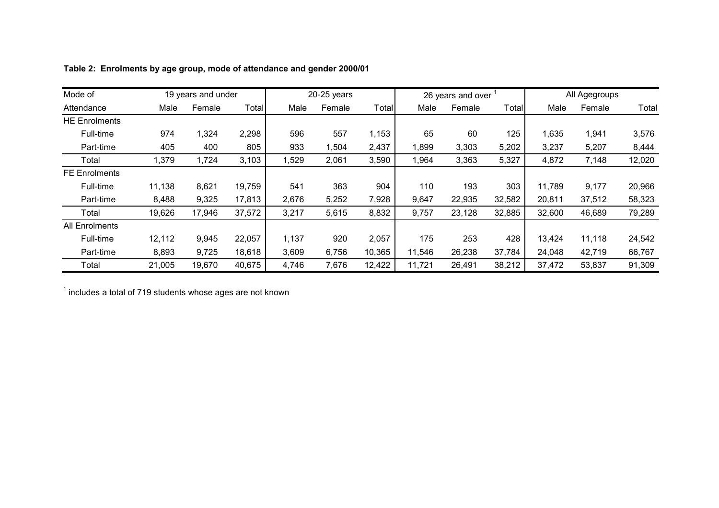| Mode of               |        | 19 years and under |        |       | $20-25$ years |        |        | 26 years and over |        |        | All Agegroups |        |
|-----------------------|--------|--------------------|--------|-------|---------------|--------|--------|-------------------|--------|--------|---------------|--------|
| Attendance            | Male   | Female             | Total  | Male  | Female        | Total  | Male   | Female            | Total  | Male   | Female        | Total  |
| <b>HE Enrolments</b>  |        |                    |        |       |               |        |        |                   |        |        |               |        |
| Full-time             | 974    | 1,324              | 2,298  | 596   | 557           | 1,153  | 65     | 60                | 125    | 1,635  | 1,941         | 3,576  |
| Part-time             | 405    | 400                | 805    | 933   | 1,504         | 2,437  | 1,899  | 3,303             | 5,202  | 3,237  | 5,207         | 8,444  |
| Total                 | 1,379  | 1,724              | 3,103  | 1,529 | 2,061         | 3,590  | 1,964  | 3,363             | 5,327  | 4,872  | 7,148         | 12,020 |
| <b>FE Enrolments</b>  |        |                    |        |       |               |        |        |                   |        |        |               |        |
| Full-time             | 11,138 | 8,621              | 19,759 | 541   | 363           | 904    | 110    | 193               | 303    | 11,789 | 9,177         | 20,966 |
| Part-time             | 8,488  | 9,325              | 17,813 | 2,676 | 5,252         | 7,928  | 9,647  | 22,935            | 32,582 | 20,811 | 37,512        | 58,323 |
| Total                 | 19,626 | 17,946             | 37,572 | 3,217 | 5,615         | 8,832  | 9,757  | 23,128            | 32,885 | 32,600 | 46,689        | 79,289 |
| <b>All Enrolments</b> |        |                    |        |       |               |        |        |                   |        |        |               |        |
| Full-time             | 12,112 | 9,945              | 22,057 | 1,137 | 920           | 2,057  | 175    | 253               | 428    | 13,424 | 11,118        | 24,542 |
| Part-time             | 8,893  | 9,725              | 18,618 | 3,609 | 6,756         | 10,365 | 11,546 | 26,238            | 37,784 | 24,048 | 42,719        | 66,767 |
| Total                 | 21,005 | 19,670             | 40,675 | 4,746 | 7,676         | 12,422 | 11,721 | 26,491            | 38,212 | 37,472 | 53,837        | 91,309 |

**Table 2: Enrolments by age group, mode of attendance and gender 2000/01**

 $<sup>1</sup>$  includes a total of 719 students whose ages are not known</sup>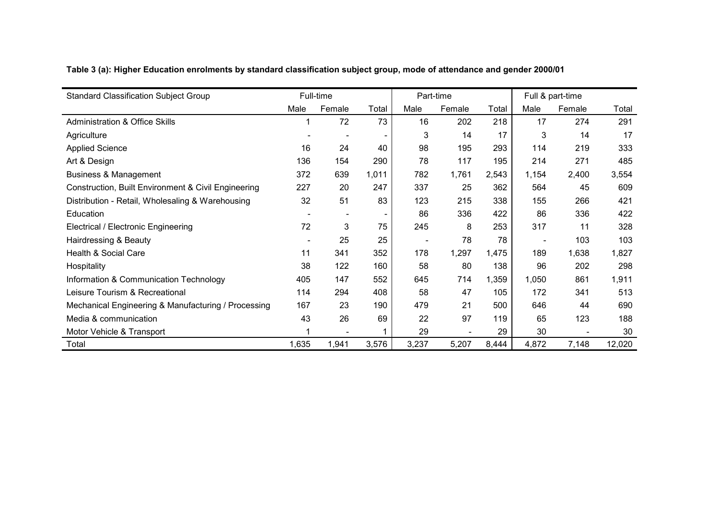| <b>Standard Classification Subject Group</b>        |       | Full-time                    |       |                              | Part-time |       |       | Full & part-time |        |
|-----------------------------------------------------|-------|------------------------------|-------|------------------------------|-----------|-------|-------|------------------|--------|
|                                                     | Male  | Female                       | Total | Male                         | Female    | Total | Male  | Female           | Total  |
| <b>Administration &amp; Office Skills</b>           |       | 72                           | 73    | 16                           | 202       | 218   | 17    | 274              | 291    |
| Agriculture                                         |       | $\overline{\phantom{a}}$     |       | 3                            | 14        | 17    | 3     | 14               | 17     |
| <b>Applied Science</b>                              | 16    | 24                           | 40    | 98                           | 195       | 293   | 114   | 219              | 333    |
| Art & Design                                        | 136   | 154                          | 290   | 78                           | 117       | 195   | 214   | 271              | 485    |
| <b>Business &amp; Management</b>                    | 372   | 639                          | 1,011 | 782                          | 1,761     | 2,543 | 1,154 | 2,400            | 3,554  |
| Construction, Built Environment & Civil Engineering | 227   | 20                           | 247   | 337                          | 25        | 362   | 564   | 45               | 609    |
| Distribution - Retail, Wholesaling & Warehousing    | 32    | 51                           | 83    | 123                          | 215       | 338   | 155   | 266              | 421    |
| Education                                           |       | $\qquad \qquad \blacksquare$ |       | 86                           | 336       | 422   | 86    | 336              | 422    |
| Electrical / Electronic Engineering                 | 72    | 3                            | 75    | 245                          | 8         | 253   | 317   | 11               | 328    |
| Hairdressing & Beauty                               |       | 25                           | 25    | $\qquad \qquad \blacksquare$ | 78        | 78    |       | 103              | 103    |
| Health & Social Care                                | 11    | 341                          | 352   | 178                          | 1,297     | 1,475 | 189   | 1,638            | 1,827  |
| Hospitality                                         | 38    | 122                          | 160   | 58                           | 80        | 138   | 96    | 202              | 298    |
| Information & Communication Technology              | 405   | 147                          | 552   | 645                          | 714       | 1,359 | 1,050 | 861              | 1,911  |
| Leisure Tourism & Recreational                      | 114   | 294                          | 408   | 58                           | 47        | 105   | 172   | 341              | 513    |
| Mechanical Engineering & Manufacturing / Processing | 167   | 23                           | 190   | 479                          | 21        | 500   | 646   | 44               | 690    |
| Media & communication                               | 43    | 26                           | 69    | 22                           | 97        | 119   | 65    | 123              | 188    |
| Motor Vehicle & Transport                           |       |                              |       | 29                           |           | 29    | 30    |                  | 30     |
| Total                                               | 1,635 | 1,941                        | 3,576 | 3,237                        | 5,207     | 8,444 | 4,872 | 7,148            | 12,020 |

**Table 3 (a): Higher Education enrolments by standard classification subject group, mode of attendance and gender 2000/01**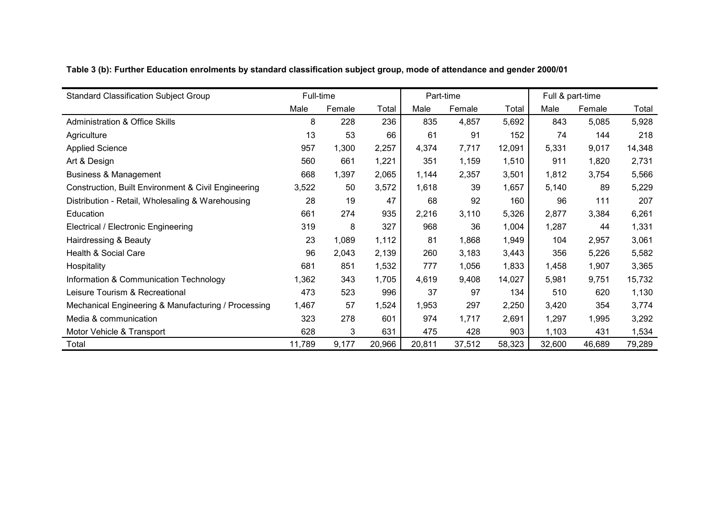|  | Table 3 (b): Further Education enrolments by standard classification subject group, mode of attendance and gender 2000/01 |  |  |  |
|--|---------------------------------------------------------------------------------------------------------------------------|--|--|--|
|  |                                                                                                                           |  |  |  |

| <b>Standard Classification Subject Group</b>        | Full-time |        |        |        | Part-time |        |        | Full & part-time |        |
|-----------------------------------------------------|-----------|--------|--------|--------|-----------|--------|--------|------------------|--------|
|                                                     | Male      | Female | Total  | Male   | Female    | Total  | Male   | Female           | Total  |
| <b>Administration &amp; Office Skills</b>           | 8         | 228    | 236    | 835    | 4,857     | 5,692  | 843    | 5,085            | 5,928  |
| Agriculture                                         | 13        | 53     | 66     | 61     | 91        | 152    | 74     | 144              | 218    |
| <b>Applied Science</b>                              | 957       | 1,300  | 2,257  | 4,374  | 7,717     | 12,091 | 5,331  | 9,017            | 14,348 |
| Art & Design                                        | 560       | 661    | 1,221  | 351    | 1,159     | 1,510  | 911    | 1,820            | 2,731  |
| <b>Business &amp; Management</b>                    | 668       | 1,397  | 2,065  | 1,144  | 2,357     | 3,501  | 1,812  | 3,754            | 5,566  |
| Construction, Built Environment & Civil Engineering | 3,522     | 50     | 3,572  | 1,618  | 39        | 1,657  | 5,140  | 89               | 5,229  |
| Distribution - Retail, Wholesaling & Warehousing    | 28        | 19     | 47     | 68     | 92        | 160    | 96     | 111              | 207    |
| Education                                           | 661       | 274    | 935    | 2,216  | 3,110     | 5,326  | 2,877  | 3,384            | 6,261  |
| Electrical / Electronic Engineering                 | 319       | 8      | 327    | 968    | 36        | 1,004  | 1,287  | 44               | 1,331  |
| Hairdressing & Beauty                               | 23        | 1,089  | 1,112  | 81     | 1,868     | 1,949  | 104    | 2,957            | 3,061  |
| Health & Social Care                                | 96        | 2,043  | 2,139  | 260    | 3,183     | 3,443  | 356    | 5,226            | 5,582  |
| Hospitality                                         | 681       | 851    | 1,532  | 777    | 1,056     | 1,833  | 1,458  | 1,907            | 3,365  |
| Information & Communication Technology              | 1,362     | 343    | 1,705  | 4,619  | 9,408     | 14,027 | 5,981  | 9,751            | 15,732 |
| Leisure Tourism & Recreational                      | 473       | 523    | 996    | 37     | 97        | 134    | 510    | 620              | 1,130  |
| Mechanical Engineering & Manufacturing / Processing | 1,467     | 57     | 1,524  | 1,953  | 297       | 2,250  | 3,420  | 354              | 3,774  |
| Media & communication                               | 323       | 278    | 601    | 974    | 1,717     | 2,691  | 1,297  | 1,995            | 3,292  |
| Motor Vehicle & Transport                           | 628       | 3      | 631    | 475    | 428       | 903    | 1,103  | 431              | 1,534  |
| Total                                               | 11,789    | 9,177  | 20,966 | 20,811 | 37,512    | 58,323 | 32,600 | 46,689           | 79,289 |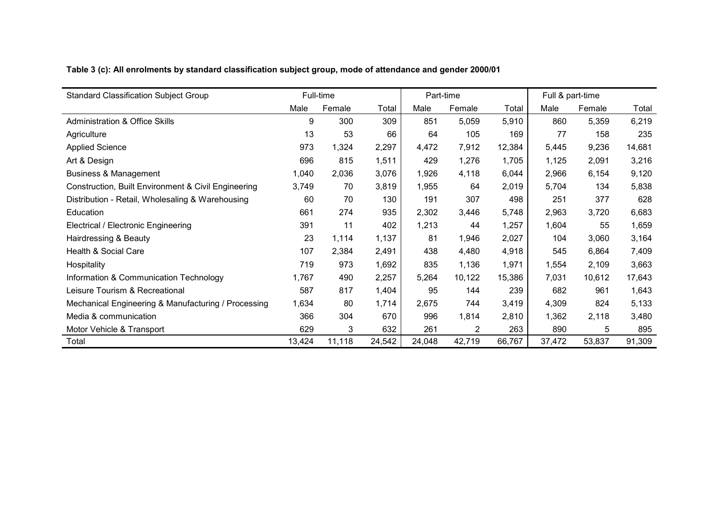|  | Table 3 (c): All enrolments by standard classification subject group, mode of attendance and gender 2000/01 |
|--|-------------------------------------------------------------------------------------------------------------|
|  |                                                                                                             |

| <b>Standard Classification Subject Group</b>        |        | Full-time |        | Part-time |        |        | Full & part-time |        |        |
|-----------------------------------------------------|--------|-----------|--------|-----------|--------|--------|------------------|--------|--------|
|                                                     | Male   | Female    | Total  | Male      | Female | Total  | Male             | Female | Total  |
| <b>Administration &amp; Office Skills</b>           | 9      | 300       | 309    | 851       | 5,059  | 5,910  | 860              | 5,359  | 6,219  |
| Agriculture                                         | 13     | 53        | 66     | 64        | 105    | 169    | 77               | 158    | 235    |
| <b>Applied Science</b>                              | 973    | 1,324     | 2,297  | 4,472     | 7,912  | 12,384 | 5,445            | 9,236  | 14,681 |
| Art & Design                                        | 696    | 815       | 1,511  | 429       | 1,276  | 1,705  | 1,125            | 2,091  | 3,216  |
| <b>Business &amp; Management</b>                    | 1,040  | 2,036     | 3,076  | 1,926     | 4,118  | 6,044  | 2,966            | 6,154  | 9,120  |
| Construction, Built Environment & Civil Engineering | 3,749  | 70        | 3,819  | 1,955     | 64     | 2,019  | 5,704            | 134    | 5,838  |
| Distribution - Retail, Wholesaling & Warehousing    | 60     | 70        | 130    | 191       | 307    | 498    | 251              | 377    | 628    |
| Education                                           | 661    | 274       | 935    | 2,302     | 3,446  | 5,748  | 2,963            | 3,720  | 6,683  |
| <b>Electrical / Electronic Engineering</b>          | 391    | 11        | 402    | 1,213     | 44     | 1,257  | 1,604            | 55     | 1,659  |
| Hairdressing & Beauty                               | 23     | 1,114     | 1,137  | 81        | 1,946  | 2,027  | 104              | 3,060  | 3,164  |
| Health & Social Care                                | 107    | 2,384     | 2,491  | 438       | 4,480  | 4,918  | 545              | 6,864  | 7,409  |
| Hospitality                                         | 719    | 973       | 1,692  | 835       | 1,136  | 1,971  | 1,554            | 2,109  | 3,663  |
| Information & Communication Technology              | 1,767  | 490       | 2,257  | 5,264     | 10,122 | 15,386 | 7,031            | 10,612 | 17,643 |
| Leisure Tourism & Recreational                      | 587    | 817       | 1,404  | 95        | 144    | 239    | 682              | 961    | 1,643  |
| Mechanical Engineering & Manufacturing / Processing | 1,634  | 80        | 1,714  | 2,675     | 744    | 3,419  | 4,309            | 824    | 5,133  |
| Media & communication                               | 366    | 304       | 670    | 996       | 1,814  | 2,810  | 1,362            | 2,118  | 3,480  |
| Motor Vehicle & Transport                           | 629    | 3         | 632    | 261       | 2      | 263    | 890              | 5      | 895    |
| Total                                               | 13,424 | 11,118    | 24,542 | 24,048    | 42,719 | 66,767 | 37,472           | 53,837 | 91,309 |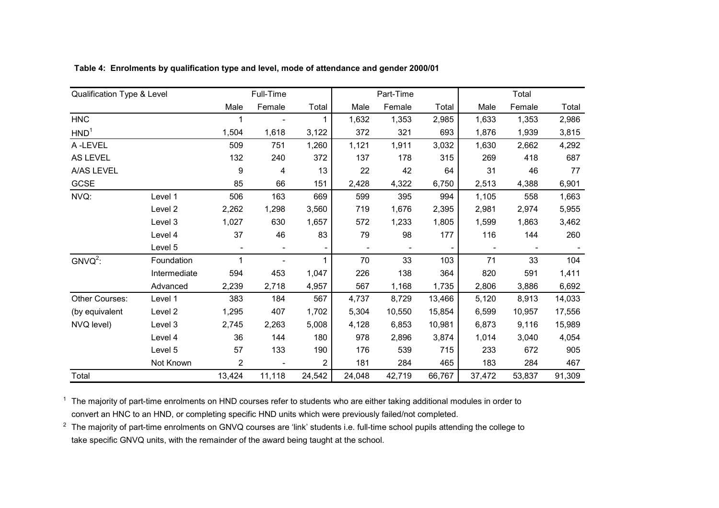| Qualification Type & Level |              |                          | Full-Time                |             |        | Part-Time |        |        | Total  |        |
|----------------------------|--------------|--------------------------|--------------------------|-------------|--------|-----------|--------|--------|--------|--------|
|                            |              | Male                     | Female                   | Total       | Male   | Female    | Total  | Male   | Female | Total  |
| <b>HNC</b>                 |              |                          |                          | $\mathbf 1$ | 1,632  | 1,353     | 2,985  | 1,633  | 1,353  | 2,986  |
| HND <sup>1</sup>           |              | 1,504                    | 1,618                    | 3,122       | 372    | 321       | 693    | 1,876  | 1,939  | 3,815  |
| A-LEVEL                    |              | 509                      | 751                      | 1,260       | 1,121  | 1,911     | 3,032  | 1,630  | 2,662  | 4,292  |
| <b>AS LEVEL</b>            |              | 132                      | 240                      | 372         | 137    | 178       | 315    | 269    | 418    | 687    |
| A/AS LEVEL                 |              | 9                        | 4                        | 13          | 22     | 42        | 64     | 31     | 46     | 77     |
| GCSE                       |              | 85                       | 66                       | 151         | 2,428  | 4,322     | 6,750  | 2,513  | 4,388  | 6,901  |
| NVQ:                       | Level 1      | 506                      | 163                      | 669         | 599    | 395       | 994    | 1,105  | 558    | 1,663  |
|                            | Level 2      | 2,262                    | 1,298                    | 3,560       | 719    | 1,676     | 2,395  | 2,981  | 2,974  | 5,955  |
|                            | Level 3      | 1,027                    | 630                      | 1,657       | 572    | 1,233     | 1,805  | 1,599  | 1,863  | 3,462  |
|                            | Level 4      | 37                       | 46                       | 83          | 79     | 98        | 177    | 116    | 144    | 260    |
|                            | Level 5      | $\overline{\phantom{a}}$ | $\overline{\phantom{a}}$ |             |        |           |        |        |        |        |
| $GNVO2$ :                  | Foundation   |                          |                          | 1           | 70     | 33        | 103    | 71     | 33     | 104    |
|                            | Intermediate | 594                      | 453                      | 1,047       | 226    | 138       | 364    | 820    | 591    | 1,411  |
|                            | Advanced     | 2,239                    | 2,718                    | 4,957       | 567    | 1,168     | 1,735  | 2,806  | 3,886  | 6,692  |
| <b>Other Courses:</b>      | Level 1      | 383                      | 184                      | 567         | 4,737  | 8,729     | 13,466 | 5,120  | 8,913  | 14,033 |
| (by equivalent             | Level 2      | 1,295                    | 407                      | 1,702       | 5,304  | 10,550    | 15,854 | 6,599  | 10,957 | 17,556 |
| NVQ level)                 | Level 3      | 2,745                    | 2,263                    | 5,008       | 4,128  | 6,853     | 10,981 | 6,873  | 9,116  | 15,989 |
|                            | Level 4      | 36                       | 144                      | 180         | 978    | 2,896     | 3,874  | 1,014  | 3,040  | 4,054  |
|                            | Level 5      | 57                       | 133                      | 190         | 176    | 539       | 715    | 233    | 672    | 905    |
|                            | Not Known    | $\mathbf{2}$             |                          | 2           | 181    | 284       | 465    | 183    | 284    | 467    |
| Total                      |              | 13,424                   | 11,118                   | 24,542      | 24,048 | 42,719    | 66,767 | 37,472 | 53,837 | 91,309 |

**Table 4: Enrolments by qualification type and level, mode of attendance and gender 2000/01**

 $^1$  The majority of part-time enrolments on HND courses refer to students who are either taking additional modules in order to convert an HNC to an HND, or completing specific HND units which were previously failed/not completed.

 $^2$  The majority of part-time enrolments on GNVQ courses are 'link' students i.e. full-time school pupils attending the college to take specific GNVQ units, with the remainder of the award being taught at the school.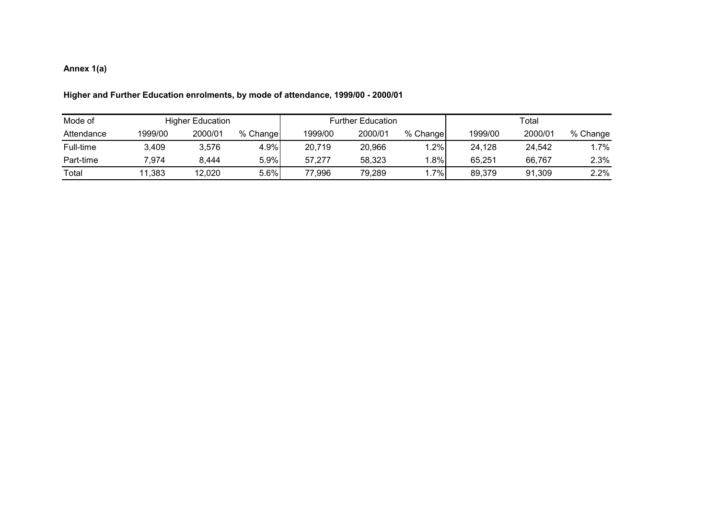### **Annex 1(a)**

| Mode of    |         | <b>Higher Education</b> |          |         | <b>Further Education</b> |          | Total   |         |          |  |
|------------|---------|-------------------------|----------|---------|--------------------------|----------|---------|---------|----------|--|
| Attendance | 1999/00 | 2000/01                 | % Change | 1999/00 | 2000/01                  | % Change | 1999/00 | 2000/01 | % Change |  |
| Full-time  | 3,409   | 3,576                   | 4.9%     | 20,719  | 20,966                   | 1.2%     | 24,128  | 24,542  | $1.7\%$  |  |
| Part-time  | 7.974   | 8.444                   | 5.9%     | 57,277  | 58,323                   | $.8\%$   | 65,251  | 66.767  | 2.3%     |  |
| Total      | 11,383  | 12,020                  | 5.6%     | 77,996  | 79.289                   | $.7\%$   | 89.379  | 91,309  | 2.2%     |  |

### **Higher and Further Education enrolments, by mode of attendance, 1999/00 - 2000/01**